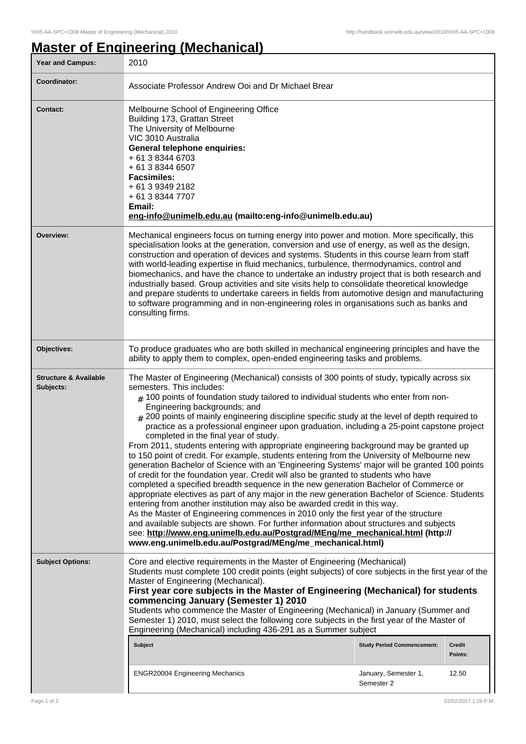## **Master of Engineering (Mechanical)**

| <b>Year and Campus:</b>                       | 2010                                                                                                                                                                                                                                                                                                                                                                                                                                                                                                                                                                                                                                                                                                                                                                                                                                                                                                                                                                                                                                                                                                                                                                                                                                                                                                                                                                                                                                                                                             |                                    |                  |
|-----------------------------------------------|--------------------------------------------------------------------------------------------------------------------------------------------------------------------------------------------------------------------------------------------------------------------------------------------------------------------------------------------------------------------------------------------------------------------------------------------------------------------------------------------------------------------------------------------------------------------------------------------------------------------------------------------------------------------------------------------------------------------------------------------------------------------------------------------------------------------------------------------------------------------------------------------------------------------------------------------------------------------------------------------------------------------------------------------------------------------------------------------------------------------------------------------------------------------------------------------------------------------------------------------------------------------------------------------------------------------------------------------------------------------------------------------------------------------------------------------------------------------------------------------------|------------------------------------|------------------|
| Coordinator:                                  | Associate Professor Andrew Ooi and Dr Michael Brear                                                                                                                                                                                                                                                                                                                                                                                                                                                                                                                                                                                                                                                                                                                                                                                                                                                                                                                                                                                                                                                                                                                                                                                                                                                                                                                                                                                                                                              |                                    |                  |
| <b>Contact:</b>                               | Melbourne School of Engineering Office<br>Building 173, Grattan Street<br>The University of Melbourne<br>VIC 3010 Australia<br>General telephone enquiries:<br>+ 61 3 8344 6703<br>+ 61 3 8344 6507<br><b>Facsimiles:</b><br>+ 61 3 9349 2182<br>+ 61 3 8344 7707<br>Email:<br>eng-info@unimelb.edu.au (mailto:eng-info@unimelb.edu.au)                                                                                                                                                                                                                                                                                                                                                                                                                                                                                                                                                                                                                                                                                                                                                                                                                                                                                                                                                                                                                                                                                                                                                          |                                    |                  |
| Overview:                                     | Mechanical engineers focus on turning energy into power and motion. More specifically, this<br>specialisation looks at the generation, conversion and use of energy, as well as the design,<br>construction and operation of devices and systems. Students in this course learn from staff<br>with world-leading expertise in fluid mechanics, turbulence, thermodynamics, control and<br>biomechanics, and have the chance to undertake an industry project that is both research and<br>industrially based. Group activities and site visits help to consolidate theoretical knowledge<br>and prepare students to undertake careers in fields from automotive design and manufacturing<br>to software programming and in non-engineering roles in organisations such as banks and<br>consulting firms.                                                                                                                                                                                                                                                                                                                                                                                                                                                                                                                                                                                                                                                                                         |                                    |                  |
| Objectives:                                   | To produce graduates who are both skilled in mechanical engineering principles and have the<br>ability to apply them to complex, open-ended engineering tasks and problems.                                                                                                                                                                                                                                                                                                                                                                                                                                                                                                                                                                                                                                                                                                                                                                                                                                                                                                                                                                                                                                                                                                                                                                                                                                                                                                                      |                                    |                  |
| <b>Structure &amp; Available</b><br>Subjects: | The Master of Engineering (Mechanical) consists of 300 points of study, typically across six<br>semesters. This includes:<br>$_{\#}$ 100 points of foundation study tailored to individual students who enter from non-<br>Engineering backgrounds; and<br>$_{\rm \#}$ 200 points of mainly engineering discipline specific study at the level of depth required to<br>practice as a professional engineer upon graduation, including a 25-point capstone project<br>completed in the final year of study.<br>From 2011, students entering with appropriate engineering background may be granted up<br>to 150 point of credit. For example, students entering from the University of Melbourne new<br>generation Bachelor of Science with an 'Engineering Systems' major will be granted 100 points<br>of credit for the foundation year. Credit will also be granted to students who have<br>completed a specified breadth sequence in the new generation Bachelor of Commerce or<br>appropriate electives as part of any major in the new generation Bachelor of Science. Students<br>entering from another institution may also be awarded credit in this way.<br>As the Master of Engineering commences in 2010 only the first year of the structure<br>and available subjects are shown. For further information about structures and subjects<br>see: http://www.eng.unimelb.edu.au/Postgrad/MEng/me_mechanical.html (http://<br>www.eng.unimelb.edu.au/Postgrad/MEng/me_mechanical.html) |                                    |                  |
| <b>Subject Options:</b>                       | Core and elective requirements in the Master of Engineering (Mechanical)<br>Students must complete 100 credit points (eight subjects) of core subjects in the first year of the<br>Master of Engineering (Mechanical).<br>First year core subjects in the Master of Engineering (Mechanical) for students<br>commencing January (Semester 1) 2010<br>Students who commence the Master of Engineering (Mechanical) in January (Summer and<br>Semester 1) 2010, must select the following core subjects in the first year of the Master of<br>Engineering (Mechanical) including 436-291 as a Summer subject<br><b>Subject</b>                                                                                                                                                                                                                                                                                                                                                                                                                                                                                                                                                                                                                                                                                                                                                                                                                                                                     | <b>Study Period Commencement:</b>  | Credit           |
|                                               | <b>ENGR20004 Engineering Mechanics</b>                                                                                                                                                                                                                                                                                                                                                                                                                                                                                                                                                                                                                                                                                                                                                                                                                                                                                                                                                                                                                                                                                                                                                                                                                                                                                                                                                                                                                                                           | January, Semester 1,<br>Semester 2 | Points:<br>12.50 |